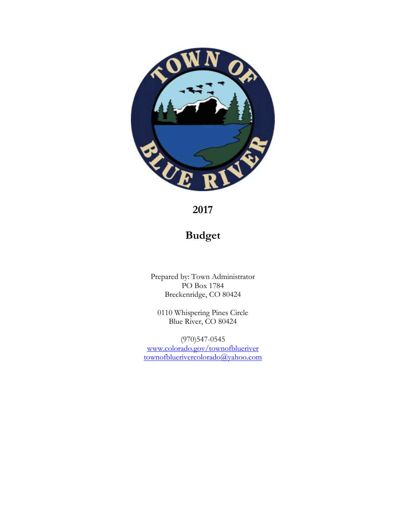

**2017**

# **Budget**

Prepared by: Town Administrator PO Box 1784 Breckenridge, CO 80424

0110 Whispering Pines Circle Blue River, CO 80424

(970)547-0545 [www.colorado.gov/townofblueriver](http://www.colorado.gov/townofblueriver) [townofbluerivercolorado@yahoo.com](mailto:townofbluerivercolorado@yahoo.com)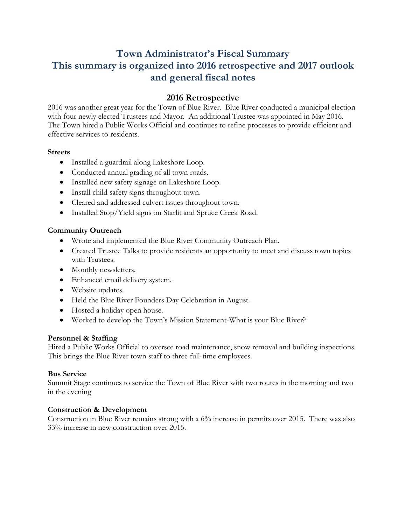# **Town Administrator's Fiscal Summary This summary is organized into 2016 retrospective and 2017 outlook and general fiscal notes**

# **2016 Retrospective**

2016 was another great year for the Town of Blue River. Blue River conducted a municipal election with four newly elected Trustees and Mayor. An additional Trustee was appointed in May 2016. The Town hired a Public Works Official and continues to refine processes to provide efficient and effective services to residents.

### **Streets**

- Installed a guardrail along Lakeshore Loop.
- Conducted annual grading of all town roads.
- Installed new safety signage on Lakeshore Loop.
- Install child safety signs throughout town.
- Cleared and addressed culvert issues throughout town.
- Installed Stop/Yield signs on Starlit and Spruce Creek Road.

# **Community Outreach**

- Wrote and implemented the Blue River Community Outreach Plan.
- Created Trustee Talks to provide residents an opportunity to meet and discuss town topics with Trustees.
- Monthly newsletters.
- Enhanced email delivery system.
- Website updates.
- Held the Blue River Founders Day Celebration in August.
- Hosted a holiday open house.
- Worked to develop the Town's Mission Statement-What is your Blue River?

# **Personnel & Staffing**

Hired a Public Works Official to oversee road maintenance, snow removal and building inspections. This brings the Blue River town staff to three full-time employees.

# **Bus Service**

Summit Stage continues to service the Town of Blue River with two routes in the morning and two in the evening

# **Construction & Development**

Construction in Blue River remains strong with a 6% increase in permits over 2015. There was also 33% increase in new construction over 2015.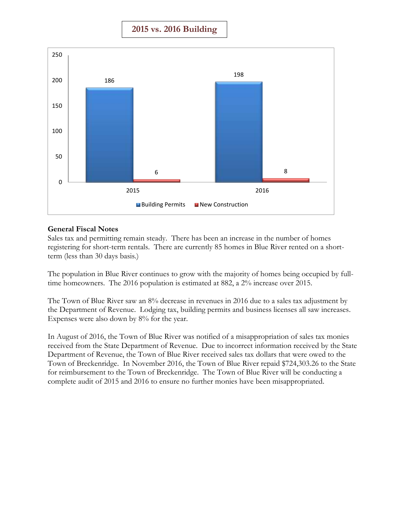**2015 vs. 2016 Building**



### **General Fiscal Notes**

Sales tax and permitting remain steady. There has been an increase in the number of homes registering for short-term rentals. There are currently 85 homes in Blue River rented on a shortterm (less than 30 days basis.)

The population in Blue River continues to grow with the majority of homes being occupied by fulltime homeowners. The 2016 population is estimated at 882, a 2% increase over 2015.

The Town of Blue River saw an 8% decrease in revenues in 2016 due to a sales tax adjustment by the Department of Revenue. Lodging tax, building permits and business licenses all saw increases. Expenses were also down by 8% for the year.

In August of 2016, the Town of Blue River was notified of a misappropriation of sales tax monies received from the State Department of Revenue. Due to incorrect information received by the State Department of Revenue, the Town of Blue River received sales tax dollars that were owed to the Town of Breckenridge. In November 2016, the Town of Blue River repaid \$724,303.26 to the State for reimbursement to the Town of Breckenridge. The Town of Blue River will be conducting a complete audit of 2015 and 2016 to ensure no further monies have been misappropriated.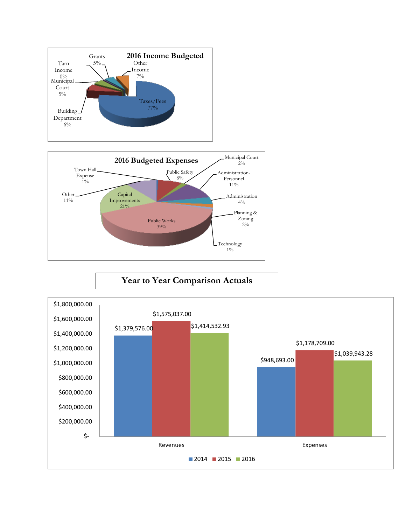



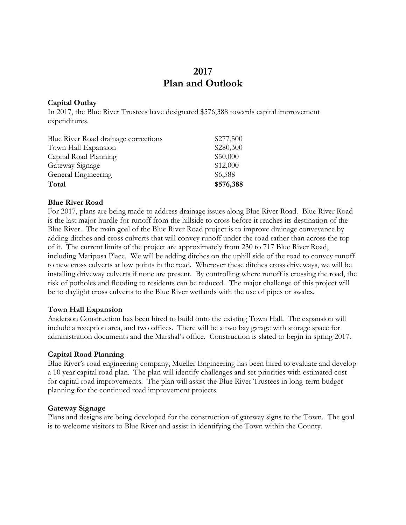# **2017 Plan and Outlook**

### **Capital Outlay**

In 2017, the Blue River Trustees have designated \$576,388 towards capital improvement expenditures.

| Blue River Road drainage corrections | \$277,500 |  |
|--------------------------------------|-----------|--|
| Town Hall Expansion                  | \$280,300 |  |
| Capital Road Planning                | \$50,000  |  |
| Gateway Signage                      | \$12,000  |  |
| General Engineering                  | \$6,588   |  |
| Total                                | \$576,388 |  |

### **Blue River Road**

For 2017, plans are being made to address drainage issues along Blue River Road. Blue River Road is the last major hurdle for runoff from the hillside to cross before it reaches its destination of the Blue River. The main goal of the Blue River Road project is to improve drainage conveyance by adding ditches and cross culverts that will convey runoff under the road rather than across the top of it. The current limits of the project are approximately from 230 to 717 Blue River Road, including Mariposa Place. We will be adding ditches on the uphill side of the road to convey runoff to new cross culverts at low points in the road. Wherever these ditches cross driveways, we will be installing driveway culverts if none are present. By controlling where runoff is crossing the road, the risk of potholes and flooding to residents can be reduced. The major challenge of this project will be to daylight cross culverts to the Blue River wetlands with the use of pipes or swales.

#### **Town Hall Expansion**

Anderson Construction has been hired to build onto the existing Town Hall. The expansion will include a reception area, and two offices. There will be a two bay garage with storage space for administration documents and the Marshal's office. Construction is slated to begin in spring 2017.

#### **Capital Road Planning**

Blue River's road engineering company, Mueller Engineering has been hired to evaluate and develop a 10 year capital road plan. The plan will identify challenges and set priorities with estimated cost for capital road improvements. The plan will assist the Blue River Trustees in long-term budget planning for the continued road improvement projects.

#### **Gateway Signage**

Plans and designs are being developed for the construction of gateway signs to the Town. The goal is to welcome visitors to Blue River and assist in identifying the Town within the County.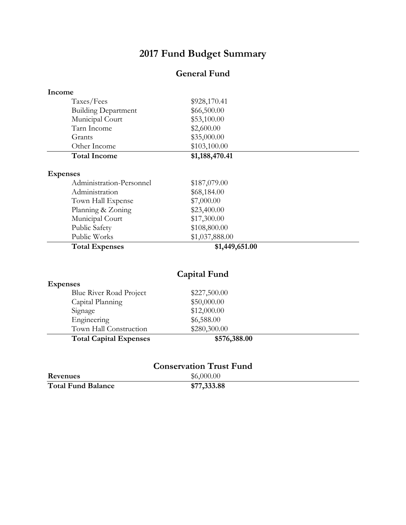# **2017 Fund Budget Summary**

# **General Fund**

| Income |                               |                                |  |
|--------|-------------------------------|--------------------------------|--|
|        | Taxes/Fees                    | \$928,170.41                   |  |
|        | <b>Building Department</b>    | \$66,500.00                    |  |
|        | Municipal Court               | \$53,100.00                    |  |
|        | Tarn Income                   | \$2,600.00                     |  |
|        | Grants                        | \$35,000.00                    |  |
|        | Other Income                  | \$103,100.00                   |  |
|        | <b>Total Income</b>           | \$1,188,470.41                 |  |
|        | <b>Expenses</b>               |                                |  |
|        | Administration-Personnel      | \$187,079.00                   |  |
|        | Administration                | \$68,184.00                    |  |
|        | Town Hall Expense             | \$7,000.00                     |  |
|        | Planning & Zoning             | \$23,400.00                    |  |
|        | Municipal Court               | \$17,300.00                    |  |
|        | Public Safety                 | \$108,800.00                   |  |
|        | Public Works                  | \$1,037,888.00                 |  |
|        | <b>Total Expenses</b>         | \$1,449,651.00                 |  |
|        |                               | <b>Capital Fund</b>            |  |
|        | <b>Expenses</b>               |                                |  |
|        | Blue River Road Project       | \$227,500.00                   |  |
|        | Capital Planning              | \$50,000.00                    |  |
|        | Signage                       | \$12,000.00                    |  |
|        | Engineering                   | \$6,588.00                     |  |
|        | Town Hall Construction        | \$280,300.00                   |  |
|        | <b>Total Capital Expenses</b> | \$576,388.00                   |  |
|        |                               |                                |  |
|        |                               |                                |  |
|        |                               | <b>Conservation Trust Fund</b> |  |
|        |                               | $A \land A \land A$            |  |

**Revenues** \$6,000.00<br>Total Fund Balance \$77,333.88  $Total Fund Balance$ </u>